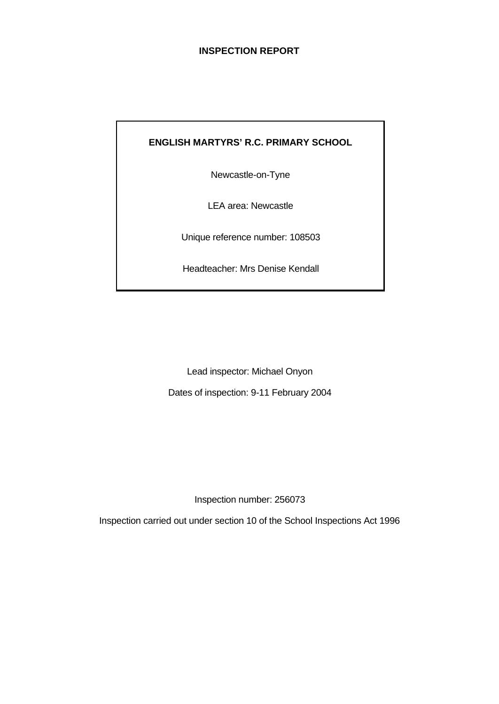# **INSPECTION REPORT**

# **ENGLISH MARTYRS' R.C. PRIMARY SCHOOL**

Newcastle-on-Tyne

LEA area: Newcastle

Unique reference number: 108503

Headteacher: Mrs Denise Kendall

Lead inspector: Michael Onyon

Dates of inspection: 9-11 February 2004

Inspection number: 256073

Inspection carried out under section 10 of the School Inspections Act 1996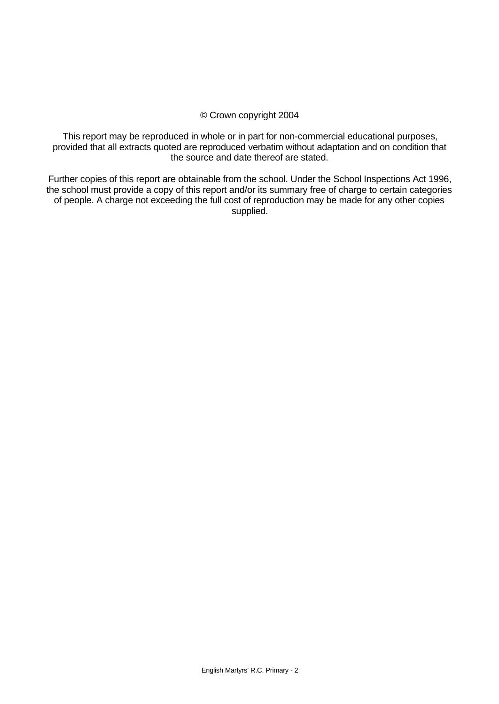#### © Crown copyright 2004

This report may be reproduced in whole or in part for non-commercial educational purposes, provided that all extracts quoted are reproduced verbatim without adaptation and on condition that the source and date thereof are stated.

Further copies of this report are obtainable from the school. Under the School Inspections Act 1996, the school must provide a copy of this report and/or its summary free of charge to certain categories of people. A charge not exceeding the full cost of reproduction may be made for any other copies supplied.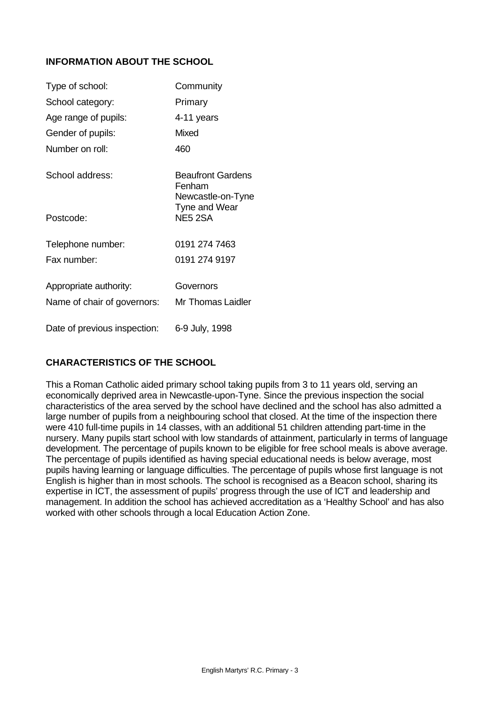# **INFORMATION ABOUT THE SCHOOL**

| Type of school:              | Community                                               |
|------------------------------|---------------------------------------------------------|
| School category:             | Primary                                                 |
| Age range of pupils:         | 4-11 years                                              |
| Gender of pupils:            | Mixed                                                   |
| Number on roll:              | 460                                                     |
| School address:              | <b>Beaufront Gardens</b><br>Fenham<br>Newcastle-on-Tyne |
| Postcode:                    | Tyne and Wear<br>NE5 2SA                                |
| Telephone number:            | 0191 274 7463                                           |
| Fax number:                  | 0191 274 9197                                           |
| Appropriate authority:       | Governors                                               |
| Name of chair of governors:  | <b>Mr Thomas Laidler</b>                                |
| Date of previous inspection: | 6-9 July, 1998                                          |

# **CHARACTERISTICS OF THE SCHOOL**

This a Roman Catholic aided primary school taking pupils from 3 to 11 years old, serving an economically deprived area in Newcastle-upon-Tyne. Since the previous inspection the social characteristics of the area served by the school have declined and the school has also admitted a large number of pupils from a neighbouring school that closed. At the time of the inspection there were 410 full-time pupils in 14 classes, with an additional 51 children attending part-time in the nursery. Many pupils start school with low standards of attainment, particularly in terms of language development. The percentage of pupils known to be eligible for free school meals is above average. The percentage of pupils identified as having special educational needs is below average, most pupils having learning or language difficulties. The percentage of pupils whose first language is not English is higher than in most schools. The school is recognised as a Beacon school, sharing its expertise in ICT, the assessment of pupils' progress through the use of ICT and leadership and management. In addition the school has achieved accreditation as a 'Healthy School' and has also worked with other schools through a local Education Action Zone.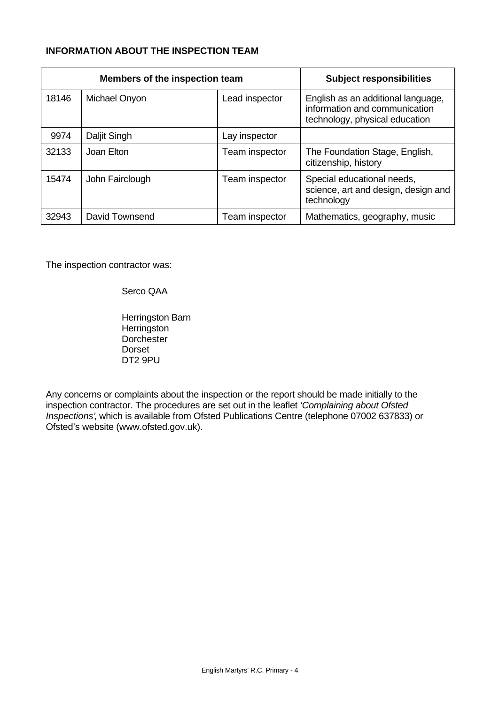# **INFORMATION ABOUT THE INSPECTION TEAM**

| Members of the inspection team |                 |                | <b>Subject responsibilities</b>                                                                       |
|--------------------------------|-----------------|----------------|-------------------------------------------------------------------------------------------------------|
| 18146                          | Michael Onyon   | Lead inspector | English as an additional language,<br>information and communication<br>technology, physical education |
| 9974                           | Daljit Singh    | Lay inspector  |                                                                                                       |
| 32133                          | Joan Elton      | Team inspector | The Foundation Stage, English,<br>citizenship, history                                                |
| 15474                          | John Fairclough | Team inspector | Special educational needs,<br>science, art and design, design and<br>technology                       |
| 32943                          | David Townsend  | Team inspector | Mathematics, geography, music                                                                         |

The inspection contractor was:

Serco QAA

Herringston Barn **Herringston Dorchester** Dorset DT2 9PU

Any concerns or complaints about the inspection or the report should be made initially to the inspection contractor. The procedures are set out in the leaflet *'Complaining about Ofsted Inspections'*, which is available from Ofsted Publications Centre (telephone 07002 637833) or Ofsted's website (www.ofsted.gov.uk).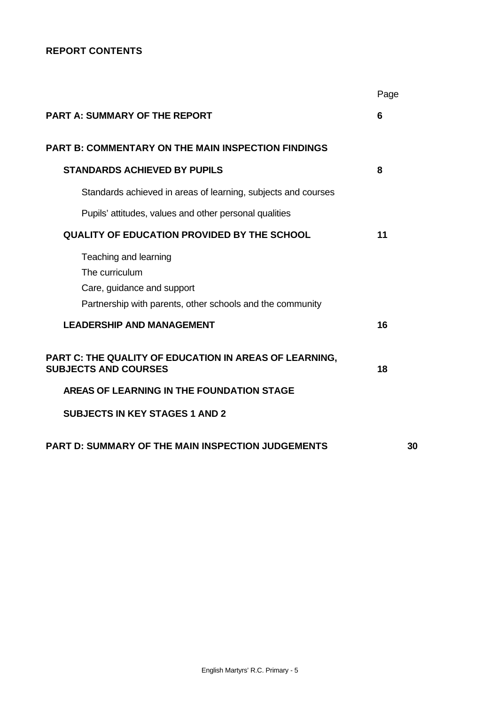# **REPORT CONTENTS**

|                                                                                                                                    | Page |
|------------------------------------------------------------------------------------------------------------------------------------|------|
| <b>PART A: SUMMARY OF THE REPORT</b>                                                                                               | 6    |
| <b>PART B: COMMENTARY ON THE MAIN INSPECTION FINDINGS</b>                                                                          |      |
| <b>STANDARDS ACHIEVED BY PUPILS</b>                                                                                                | 8    |
| Standards achieved in areas of learning, subjects and courses                                                                      |      |
| Pupils' attitudes, values and other personal qualities                                                                             |      |
| <b>QUALITY OF EDUCATION PROVIDED BY THE SCHOOL</b>                                                                                 | 11   |
| Teaching and learning<br>The curriculum<br>Care, guidance and support<br>Partnership with parents, other schools and the community |      |
| <b>LEADERSHIP AND MANAGEMENT</b>                                                                                                   | 16   |
| PART C: THE QUALITY OF EDUCATION IN AREAS OF LEARNING,<br><b>SUBJECTS AND COURSES</b>                                              | 18   |
| AREAS OF LEARNING IN THE FOUNDATION STAGE                                                                                          |      |
| <b>SUBJECTS IN KEY STAGES 1 AND 2</b>                                                                                              |      |
| <b>PART D: SUMMARY OF THE MAIN INSPECTION JUDGEMENTS</b>                                                                           | 30   |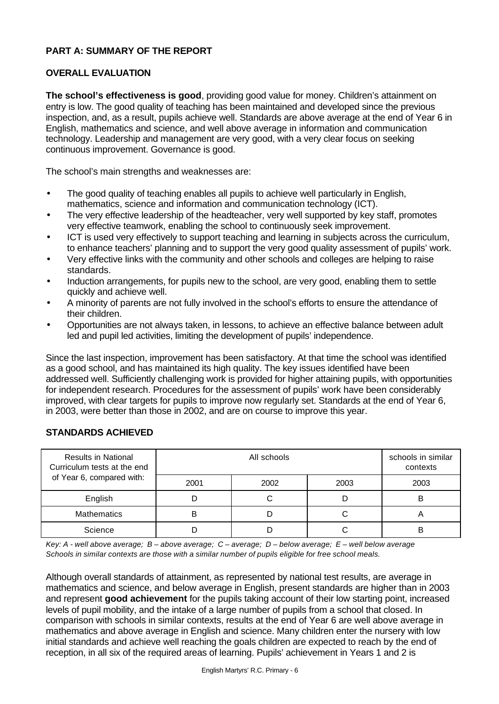## **PART A: SUMMARY OF THE REPORT**

## **OVERALL EVALUATION**

**The school's effectiveness is good**, providing good value for money. Children's attainment on entry is low. The good quality of teaching has been maintained and developed since the previous inspection, and, as a result, pupils achieve well. Standards are above average at the end of Year 6 in English, mathematics and science, and well above average in information and communication technology. Leadership and management are very good, with a very clear focus on seeking continuous improvement. Governance is good.

The school's main strengths and weaknesses are:

- The good quality of teaching enables all pupils to achieve well particularly in English, mathematics, science and information and communication technology (ICT).
- The very effective leadership of the headteacher, very well supported by key staff, promotes very effective teamwork, enabling the school to continuously seek improvement.
- ICT is used very effectively to support teaching and learning in subjects across the curriculum, to enhance teachers' planning and to support the very good quality assessment of pupils' work.
- Very effective links with the community and other schools and colleges are helping to raise standards.
- Induction arrangements, for pupils new to the school, are very good, enabling them to settle quickly and achieve well.
- A minority of parents are not fully involved in the school's efforts to ensure the attendance of their children.
- Opportunities are not always taken, in lessons, to achieve an effective balance between adult led and pupil led activities, limiting the development of pupils' independence.

Since the last inspection, improvement has been satisfactory. At that time the school was identified as a good school, and has maintained its high quality. The key issues identified have been addressed well. Sufficiently challenging work is provided for higher attaining pupils, with opportunities for independent research. Procedures for the assessment of pupils' work have been considerably improved, with clear targets for pupils to improve now regularly set. Standards at the end of Year 6, in 2003, were better than those in 2002, and are on course to improve this year.

| <b>Results in National</b><br>Curriculum tests at the end |      | schools in similar<br>contexts |      |      |
|-----------------------------------------------------------|------|--------------------------------|------|------|
| of Year 6, compared with:                                 | 2001 | 2002                           | 2003 | 2003 |
| English                                                   |      |                                |      | в    |
| <b>Mathematics</b>                                        | в    |                                |      | n    |
| Science                                                   |      |                                |      |      |

## **STANDARDS ACHIEVED**

*Key: A - well above average; B – above average; C – average; D – below average; E – well below average Schools in similar contexts are those with a similar number of pupils eligible for free school meals.*

Although overall standards of attainment, as represented by national test results, are average in mathematics and science, and below average in English, present standards are higher than in 2003 and represent **good achievement** for the pupils taking account of their low starting point, increased levels of pupil mobility, and the intake of a large number of pupils from a school that closed. In comparison with schools in similar contexts, results at the end of Year 6 are well above average in mathematics and above average in English and science. Many children enter the nursery with low initial standards and achieve well reaching the goals children are expected to reach by the end of reception, in all six of the required areas of learning. Pupils' achievement in Years 1 and 2 is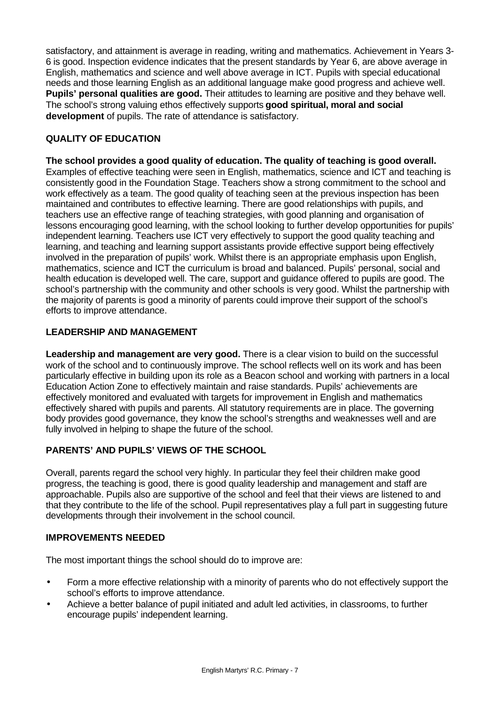satisfactory, and attainment is average in reading, writing and mathematics. Achievement in Years 3- 6 is good. Inspection evidence indicates that the present standards by Year 6, are above average in English, mathematics and science and well above average in ICT. Pupils with special educational needs and those learning English as an additional language make good progress and achieve well. **Pupils' personal qualities are good.** Their attitudes to learning are positive and they behave well. The school's strong valuing ethos effectively supports **good spiritual, moral and social development** of pupils. The rate of attendance is satisfactory.

# **QUALITY OF EDUCATION**

**The school provides a good quality of education. The quality of teaching is good overall.** Examples of effective teaching were seen in English, mathematics, science and ICT and teaching is consistently good in the Foundation Stage. Teachers show a strong commitment to the school and work effectively as a team. The good quality of teaching seen at the previous inspection has been maintained and contributes to effective learning. There are good relationships with pupils, and teachers use an effective range of teaching strategies, with good planning and organisation of lessons encouraging good learning, with the school looking to further develop opportunities for pupils' independent learning. Teachers use ICT very effectively to support the good quality teaching and learning, and teaching and learning support assistants provide effective support being effectively involved in the preparation of pupils' work. Whilst there is an appropriate emphasis upon English, mathematics, science and ICT the curriculum is broad and balanced. Pupils' personal, social and health education is developed well. The care, support and guidance offered to pupils are good. The school's partnership with the community and other schools is very good. Whilst the partnership with the majority of parents is good a minority of parents could improve their support of the school's efforts to improve attendance.

# **LEADERSHIP AND MANAGEMENT**

**Leadership and management are very good.** There is a clear vision to build on the successful work of the school and to continuously improve. The school reflects well on its work and has been particularly effective in building upon its role as a Beacon school and working with partners in a local Education Action Zone to effectively maintain and raise standards. Pupils' achievements are effectively monitored and evaluated with targets for improvement in English and mathematics effectively shared with pupils and parents. All statutory requirements are in place. The governing body provides good governance, they know the school's strengths and weaknesses well and are fully involved in helping to shape the future of the school.

# **PARENTS' AND PUPILS' VIEWS OF THE SCHOOL**

Overall, parents regard the school very highly. In particular they feel their children make good progress, the teaching is good, there is good quality leadership and management and staff are approachable. Pupils also are supportive of the school and feel that their views are listened to and that they contribute to the life of the school. Pupil representatives play a full part in suggesting future developments through their involvement in the school council.

## **IMPROVEMENTS NEEDED**

The most important things the school should do to improve are:

- Form a more effective relationship with a minority of parents who do not effectively support the school's efforts to improve attendance.
- Achieve a better balance of pupil initiated and adult led activities, in classrooms, to further encourage pupils' independent learning.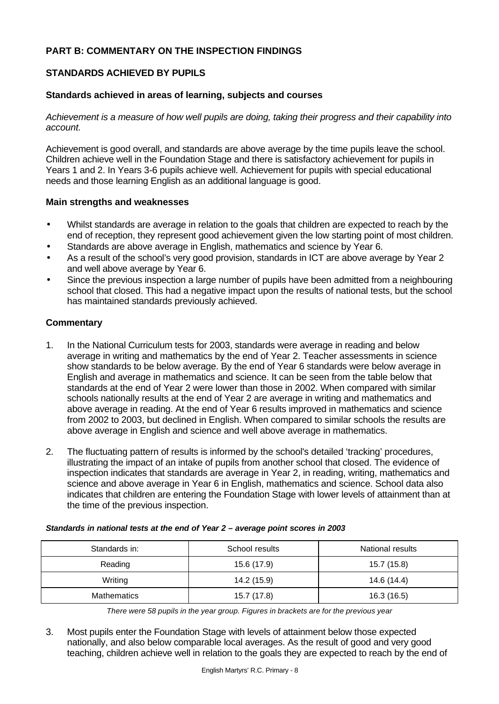## **PART B: COMMENTARY ON THE INSPECTION FINDINGS**

## **STANDARDS ACHIEVED BY PUPILS**

#### **Standards achieved in areas of learning, subjects and courses**

*Achievement is a measure of how well pupils are doing, taking their progress and their capability into account.*

Achievement is good overall, and standards are above average by the time pupils leave the school. Children achieve well in the Foundation Stage and there is satisfactory achievement for pupils in Years 1 and 2. In Years 3-6 pupils achieve well. Achievement for pupils with special educational needs and those learning English as an additional language is good.

#### **Main strengths and weaknesses**

- Whilst standards are average in relation to the goals that children are expected to reach by the end of reception, they represent good achievement given the low starting point of most children.
- Standards are above average in English, mathematics and science by Year 6.
- As a result of the school's very good provision, standards in ICT are above average by Year 2 and well above average by Year 6.
- Since the previous inspection a large number of pupils have been admitted from a neighbouring school that closed. This had a negative impact upon the results of national tests, but the school has maintained standards previously achieved.

## **Commentary**

- 1. In the National Curriculum tests for 2003, standards were average in reading and below average in writing and mathematics by the end of Year 2. Teacher assessments in science show standards to be below average. By the end of Year 6 standards were below average in English and average in mathematics and science. It can be seen from the table below that standards at the end of Year 2 were lower than those in 2002. When compared with similar schools nationally results at the end of Year 2 are average in writing and mathematics and above average in reading. At the end of Year 6 results improved in mathematics and science from 2002 to 2003, but declined in English. When compared to similar schools the results are above average in English and science and well above average in mathematics.
- 2. The fluctuating pattern of results is informed by the school's detailed 'tracking' procedures, illustrating the impact of an intake of pupils from another school that closed. The evidence of inspection indicates that standards are average in Year 2, in reading, writing, mathematics and science and above average in Year 6 in English, mathematics and science. School data also indicates that children are entering the Foundation Stage with lower levels of attainment than at the time of the previous inspection.

| Standards in:      | School results | National results |  |  |  |
|--------------------|----------------|------------------|--|--|--|
| Reading            | 15.6 (17.9)    | 15.7 (15.8)      |  |  |  |
| Writing            | 14.2 (15.9)    | 14.6 (14.4)      |  |  |  |
| <b>Mathematics</b> | 15.7 (17.8)    | 16.3 (16.5)      |  |  |  |

#### *Standards in national tests at the end of Year 2 – average point scores in 2003*

*There were 58 pupils in the year group. Figures in brackets are for the previous year*

3. Most pupils enter the Foundation Stage with levels of attainment below those expected nationally, and also below comparable local averages. As the result of good and very good teaching, children achieve well in relation to the goals they are expected to reach by the end of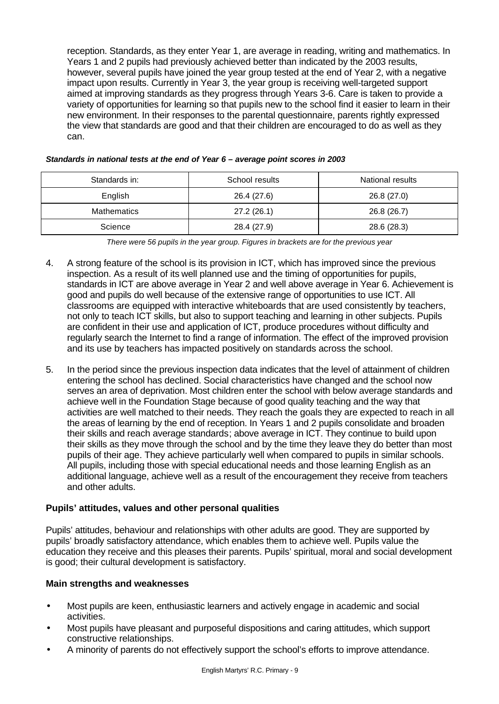reception. Standards, as they enter Year 1, are average in reading, writing and mathematics. In Years 1 and 2 pupils had previously achieved better than indicated by the 2003 results, however, several pupils have joined the year group tested at the end of Year 2, with a negative impact upon results. Currently in Year 3, the year group is receiving well-targeted support aimed at improving standards as they progress through Years 3-6. Care is taken to provide a variety of opportunities for learning so that pupils new to the school find it easier to learn in their new environment. In their responses to the parental questionnaire, parents rightly expressed the view that standards are good and that their children are encouraged to do as well as they can.

| Standards in:      | School results | National results |
|--------------------|----------------|------------------|
| English            | 26.4 (27.6)    | 26.8 (27.0)      |
| <b>Mathematics</b> | 27.2 (26.1)    | 26.8 (26.7)      |
| Science            | 28.4 (27.9)    | 28.6 (28.3)      |

|  |  |  | Standards in national tests at the end of Year 6 - average point scores in 2003 |
|--|--|--|---------------------------------------------------------------------------------|
|--|--|--|---------------------------------------------------------------------------------|

*There were 56 pupils in the year group. Figures in brackets are for the previous year*

- 4. A strong feature of the school is its provision in ICT, which has improved since the previous inspection. As a result of its well planned use and the timing of opportunities for pupils, standards in ICT are above average in Year 2 and well above average in Year 6. Achievement is good and pupils do well because of the extensive range of opportunities to use ICT. All classrooms are equipped with interactive whiteboards that are used consistently by teachers, not only to teach ICT skills, but also to support teaching and learning in other subjects. Pupils are confident in their use and application of ICT, produce procedures without difficulty and regularly search the Internet to find a range of information. The effect of the improved provision and its use by teachers has impacted positively on standards across the school.
- 5. In the period since the previous inspection data indicates that the level of attainment of children entering the school has declined. Social characteristics have changed and the school now serves an area of deprivation. Most children enter the school with below average standards and achieve well in the Foundation Stage because of good quality teaching and the way that activities are well matched to their needs. They reach the goals they are expected to reach in all the areas of learning by the end of reception. In Years 1 and 2 pupils consolidate and broaden their skills and reach average standards; above average in ICT. They continue to build upon their skills as they move through the school and by the time they leave they do better than most pupils of their age. They achieve particularly well when compared to pupils in similar schools. All pupils, including those with special educational needs and those learning English as an additional language, achieve well as a result of the encouragement they receive from teachers and other adults.

## **Pupils' attitudes, values and other personal qualities**

Pupils' attitudes, behaviour and relationships with other adults are good. They are supported by pupils' broadly satisfactory attendance, which enables them to achieve well. Pupils value the education they receive and this pleases their parents. Pupils' spiritual, moral and social development is good; their cultural development is satisfactory.

## **Main strengths and weaknesses**

- Most pupils are keen, enthusiastic learners and actively engage in academic and social activities.
- Most pupils have pleasant and purposeful dispositions and caring attitudes, which support constructive relationships.
- A minority of parents do not effectively support the school's efforts to improve attendance.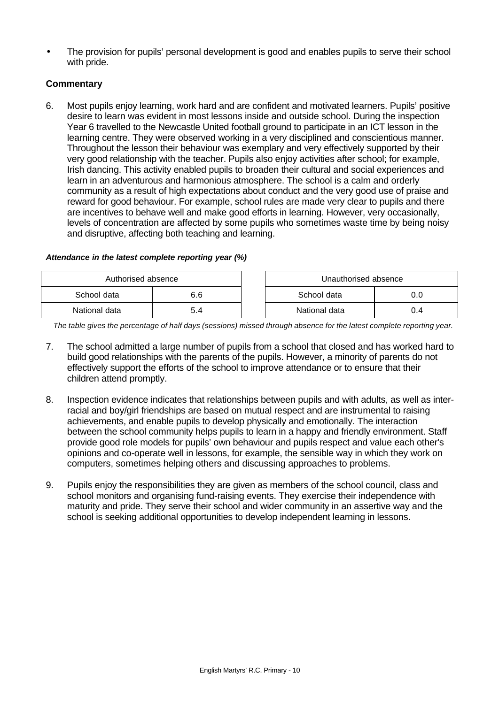• The provision for pupils' personal development is good and enables pupils to serve their school with pride.

## **Commentary**

6. Most pupils enjoy learning, work hard and are confident and motivated learners. Pupils' positive desire to learn was evident in most lessons inside and outside school. During the inspection Year 6 travelled to the Newcastle United football ground to participate in an ICT lesson in the learning centre. They were observed working in a very disciplined and conscientious manner. Throughout the lesson their behaviour was exemplary and very effectively supported by their very good relationship with the teacher. Pupils also enjoy activities after school; for example, Irish dancing. This activity enabled pupils to broaden their cultural and social experiences and learn in an adventurous and harmonious atmosphere. The school is a calm and orderly community as a result of high expectations about conduct and the very good use of praise and reward for good behaviour. For example, school rules are made very clear to pupils and there are incentives to behave well and make good efforts in learning. However, very occasionally, levels of concentration are affected by some pupils who sometimes waste time by being noisy and disruptive, affecting both teaching and learning.

## *Attendance in the latest complete reporting year (%)*

| Authorised absence |     | Unauthorised absence |     |
|--------------------|-----|----------------------|-----|
| School data        | 6.6 | School data          |     |
| National data      | 5.4 | National data        | 0.4 |

*The table gives the percentage of half days (sessions) missed through absence for the latest complete reporting year.*

- 7. The school admitted a large number of pupils from a school that closed and has worked hard to build good relationships with the parents of the pupils. However, a minority of parents do not effectively support the efforts of the school to improve attendance or to ensure that their children attend promptly.
- 8. Inspection evidence indicates that relationships between pupils and with adults, as well as interracial and boy/girl friendships are based on mutual respect and are instrumental to raising achievements, and enable pupils to develop physically and emotionally. The interaction between the school community helps pupils to learn in a happy and friendly environment. Staff provide good role models for pupils' own behaviour and pupils respect and value each other's opinions and co-operate well in lessons, for example, the sensible way in which they work on computers, sometimes helping others and discussing approaches to problems.
- 9. Pupils enjoy the responsibilities they are given as members of the school council, class and school monitors and organising fund-raising events. They exercise their independence with maturity and pride. They serve their school and wider community in an assertive way and the school is seeking additional opportunities to develop independent learning in lessons.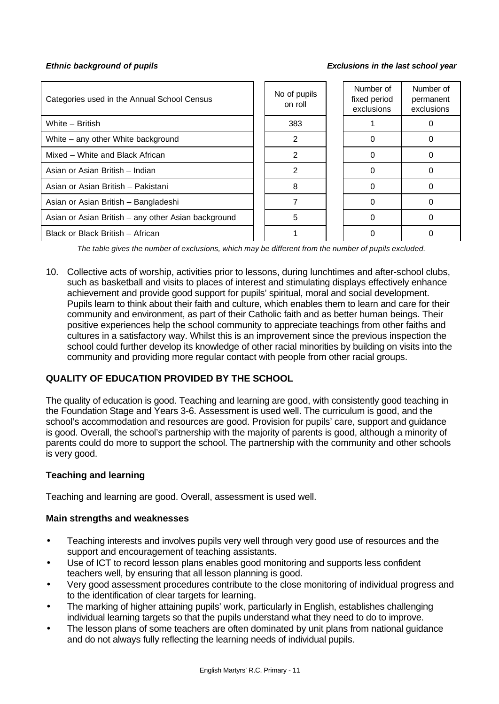#### *Ethnic background of pupils Exclusions in the last school year*

| Categories used in the Annual School Census         | No of pupils<br>on roll |     |  |  | Number of<br>permanent<br>exclusions |
|-----------------------------------------------------|-------------------------|-----|--|--|--------------------------------------|
| White - British                                     |                         | 383 |  |  |                                      |
| White – any other White background                  |                         | 2   |  |  |                                      |
| Mixed - White and Black African                     |                         | 2   |  |  |                                      |
| Asian or Asian British - Indian                     |                         | 2   |  |  |                                      |
| Asian or Asian British - Pakistani                  |                         | 8   |  |  |                                      |
| Asian or Asian British - Bangladeshi                |                         |     |  |  |                                      |
| Asian or Asian British - any other Asian background |                         | 5   |  |  |                                      |
| Black or Black British - African                    |                         |     |  |  |                                      |

*The table gives the number of exclusions, which may be different from the number of pupils excluded.*

10. Collective acts of worship, activities prior to lessons, during lunchtimes and after-school clubs, such as basketball and visits to places of interest and stimulating displays effectively enhance achievement and provide good support for pupils' spiritual, moral and social development. Pupils learn to think about their faith and culture, which enables them to learn and care for their community and environment, as part of their Catholic faith and as better human beings. Their positive experiences help the school community to appreciate teachings from other faiths and cultures in a satisfactory way. Whilst this is an improvement since the previous inspection the school could further develop its knowledge of other racial minorities by building on visits into the community and providing more regular contact with people from other racial groups.

# **QUALITY OF EDUCATION PROVIDED BY THE SCHOOL**

The quality of education is good. Teaching and learning are good, with consistently good teaching in the Foundation Stage and Years 3-6. Assessment is used well. The curriculum is good, and the school's accommodation and resources are good. Provision for pupils' care, support and guidance is good. Overall, the school's partnership with the majority of parents is good, although a minority of parents could do more to support the school. The partnership with the community and other schools is very good.

## **Teaching and learning**

Teaching and learning are good. Overall, assessment is used well.

## **Main strengths and weaknesses**

- Teaching interests and involves pupils very well through very good use of resources and the support and encouragement of teaching assistants.
- Use of ICT to record lesson plans enables good monitoring and supports less confident teachers well, by ensuring that all lesson planning is good.
- Very good assessment procedures contribute to the close monitoring of individual progress and to the identification of clear targets for learning.
- The marking of higher attaining pupils' work, particularly in English, establishes challenging individual learning targets so that the pupils understand what they need to do to improve.
- The lesson plans of some teachers are often dominated by unit plans from national guidance and do not always fully reflecting the learning needs of individual pupils.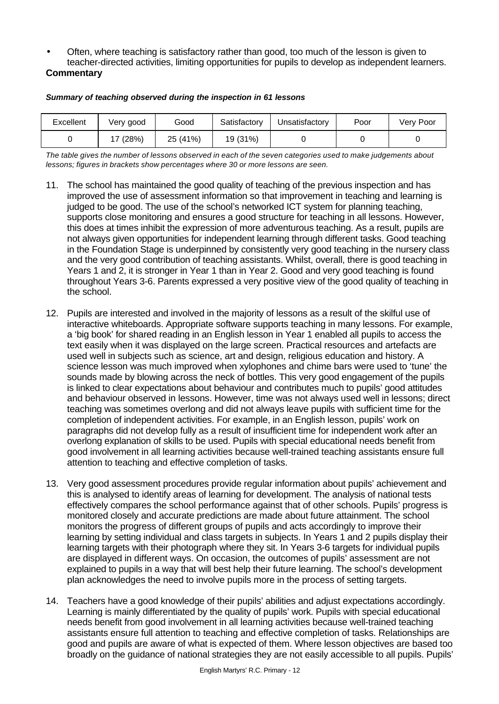• Often, where teaching is satisfactory rather than good, too much of the lesson is given to teacher-directed activities, limiting opportunities for pupils to develop as independent learners.

# **Commentary**

| Excellent | Very good | Good     | Satisfactory | Unsatisfactory | Poor | Very Poor |
|-----------|-----------|----------|--------------|----------------|------|-----------|
|           | 17 (28%)  | 25 (41%) | 19 (31%)     |                |      |           |

#### *Summary of teaching observed during the inspection in 61 lessons*

*The table gives the number of lessons observed in each of the seven categories used to make judgements about lessons; figures in brackets show percentages where 30 or more lessons are seen.*

- 11. The school has maintained the good quality of teaching of the previous inspection and has improved the use of assessment information so that improvement in teaching and learning is judged to be good. The use of the school's networked ICT system for planning teaching, supports close monitoring and ensures a good structure for teaching in all lessons. However, this does at times inhibit the expression of more adventurous teaching. As a result, pupils are not always given opportunities for independent learning through different tasks. Good teaching in the Foundation Stage is underpinned by consistently very good teaching in the nursery class and the very good contribution of teaching assistants. Whilst, overall, there is good teaching in Years 1 and 2, it is stronger in Year 1 than in Year 2. Good and very good teaching is found throughout Years 3-6. Parents expressed a very positive view of the good quality of teaching in the school.
- 12. Pupils are interested and involved in the majority of lessons as a result of the skilful use of interactive whiteboards. Appropriate software supports teaching in many lessons. For example, a 'big book' for shared reading in an English lesson in Year 1 enabled all pupils to access the text easily when it was displayed on the large screen. Practical resources and artefacts are used well in subjects such as science, art and design, religious education and history. A science lesson was much improved when xylophones and chime bars were used to 'tune' the sounds made by blowing across the neck of bottles. This very good engagement of the pupils is linked to clear expectations about behaviour and contributes much to pupils' good attitudes and behaviour observed in lessons. However, time was not always used well in lessons; direct teaching was sometimes overlong and did not always leave pupils with sufficient time for the completion of independent activities. For example, in an English lesson, pupils' work on paragraphs did not develop fully as a result of insufficient time for independent work after an overlong explanation of skills to be used. Pupils with special educational needs benefit from good involvement in all learning activities because well-trained teaching assistants ensure full attention to teaching and effective completion of tasks.
- 13. Very good assessment procedures provide regular information about pupils' achievement and this is analysed to identify areas of learning for development. The analysis of national tests effectively compares the school performance against that of other schools. Pupils' progress is monitored closely and accurate predictions are made about future attainment. The school monitors the progress of different groups of pupils and acts accordingly to improve their learning by setting individual and class targets in subjects. In Years 1 and 2 pupils display their learning targets with their photograph where they sit. In Years 3-6 targets for individual pupils are displayed in different ways. On occasion, the outcomes of pupils' assessment are not explained to pupils in a way that will best help their future learning. The school's development plan acknowledges the need to involve pupils more in the process of setting targets.
- 14. Teachers have a good knowledge of their pupils' abilities and adjust expectations accordingly. Learning is mainly differentiated by the quality of pupils' work. Pupils with special educational needs benefit from good involvement in all learning activities because well-trained teaching assistants ensure full attention to teaching and effective completion of tasks. Relationships are good and pupils are aware of what is expected of them. Where lesson objectives are based too broadly on the guidance of national strategies they are not easily accessible to all pupils. Pupils'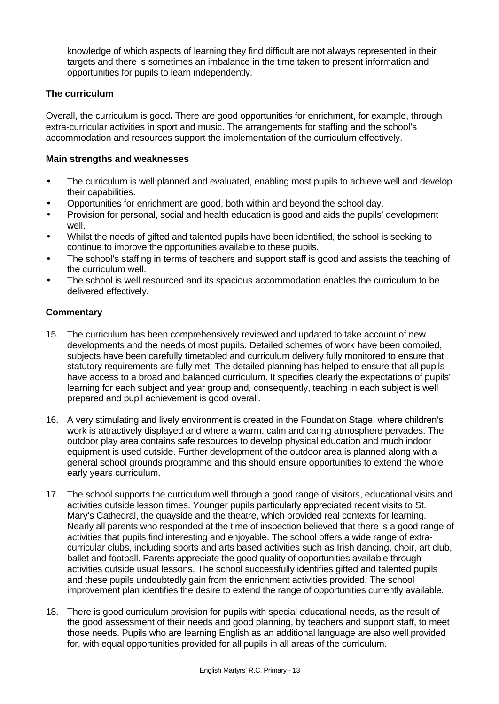knowledge of which aspects of learning they find difficult are not always represented in their targets and there is sometimes an imbalance in the time taken to present information and opportunities for pupils to learn independently.

## **The curriculum**

Overall, the curriculum is good**.** There are good opportunities for enrichment, for example, through extra-curricular activities in sport and music. The arrangements for staffing and the school's accommodation and resources support the implementation of the curriculum effectively.

#### **Main strengths and weaknesses**

- The curriculum is well planned and evaluated, enabling most pupils to achieve well and develop their capabilities.
- Opportunities for enrichment are good, both within and beyond the school day.
- Provision for personal, social and health education is good and aids the pupils' development well.
- Whilst the needs of gifted and talented pupils have been identified, the school is seeking to continue to improve the opportunities available to these pupils.
- The school's staffing in terms of teachers and support staff is good and assists the teaching of the curriculum well.
- The school is well resourced and its spacious accommodation enables the curriculum to be delivered effectively.

- 15. The curriculum has been comprehensively reviewed and updated to take account of new developments and the needs of most pupils. Detailed schemes of work have been compiled, subjects have been carefully timetabled and curriculum delivery fully monitored to ensure that statutory requirements are fully met. The detailed planning has helped to ensure that all pupils have access to a broad and balanced curriculum. It specifies clearly the expectations of pupils' learning for each subject and year group and, consequently, teaching in each subject is well prepared and pupil achievement is good overall.
- 16. A very stimulating and lively environment is created in the Foundation Stage, where children's work is attractively displayed and where a warm, calm and caring atmosphere pervades. The outdoor play area contains safe resources to develop physical education and much indoor equipment is used outside. Further development of the outdoor area is planned along with a general school grounds programme and this should ensure opportunities to extend the whole early years curriculum.
- 17. The school supports the curriculum well through a good range of visitors, educational visits and activities outside lesson times. Younger pupils particularly appreciated recent visits to St. Mary's Cathedral, the quayside and the theatre, which provided real contexts for learning. Nearly all parents who responded at the time of inspection believed that there is a good range of activities that pupils find interesting and enjoyable. The school offers a wide range of extracurricular clubs, including sports and arts based activities such as Irish dancing, choir, art club, ballet and football. Parents appreciate the good quality of opportunities available through activities outside usual lessons. The school successfully identifies gifted and talented pupils and these pupils undoubtedly gain from the enrichment activities provided. The school improvement plan identifies the desire to extend the range of opportunities currently available.
- 18. There is good curriculum provision for pupils with special educational needs, as the result of the good assessment of their needs and good planning, by teachers and support staff, to meet those needs. Pupils who are learning English as an additional language are also well provided for, with equal opportunities provided for all pupils in all areas of the curriculum.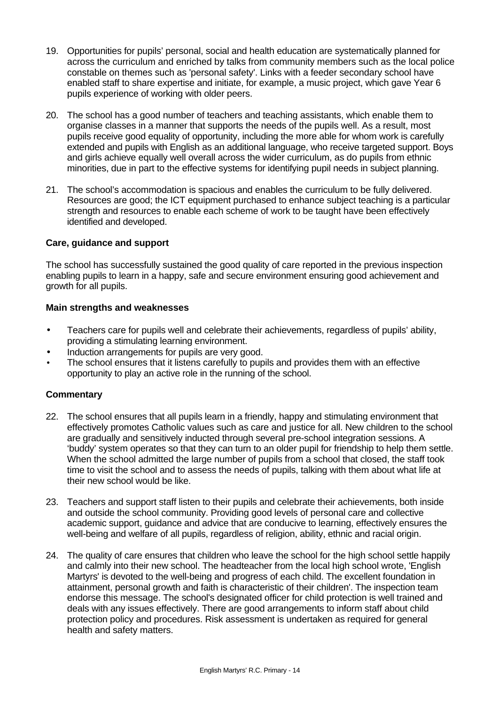- 19. Opportunities for pupils' personal, social and health education are systematically planned for across the curriculum and enriched by talks from community members such as the local police constable on themes such as 'personal safety'. Links with a feeder secondary school have enabled staff to share expertise and initiate, for example, a music project, which gave Year 6 pupils experience of working with older peers.
- 20. The school has a good number of teachers and teaching assistants, which enable them to organise classes in a manner that supports the needs of the pupils well. As a result, most pupils receive good equality of opportunity, including the more able for whom work is carefully extended and pupils with English as an additional language, who receive targeted support. Boys and girls achieve equally well overall across the wider curriculum, as do pupils from ethnic minorities, due in part to the effective systems for identifying pupil needs in subject planning.
- 21. The school's accommodation is spacious and enables the curriculum to be fully delivered. Resources are good; the ICT equipment purchased to enhance subject teaching is a particular strength and resources to enable each scheme of work to be taught have been effectively identified and developed.

## **Care, guidance and support**

The school has successfully sustained the good quality of care reported in the previous inspection enabling pupils to learn in a happy, safe and secure environment ensuring good achievement and growth for all pupils.

## **Main strengths and weaknesses**

- Teachers care for pupils well and celebrate their achievements, regardless of pupils' ability, providing a stimulating learning environment.
- Induction arrangements for pupils are very good.
- The school ensures that it listens carefully to pupils and provides them with an effective opportunity to play an active role in the running of the school.

- 22. The school ensures that all pupils learn in a friendly, happy and stimulating environment that effectively promotes Catholic values such as care and justice for all. New children to the school are gradually and sensitively inducted through several pre-school integration sessions. A 'buddy' system operates so that they can turn to an older pupil for friendship to help them settle. When the school admitted the large number of pupils from a school that closed, the staff took time to visit the school and to assess the needs of pupils, talking with them about what life at their new school would be like.
- 23. Teachers and support staff listen to their pupils and celebrate their achievements, both inside and outside the school community. Providing good levels of personal care and collective academic support, guidance and advice that are conducive to learning, effectively ensures the well-being and welfare of all pupils, regardless of religion, ability, ethnic and racial origin.
- 24. The quality of care ensures that children who leave the school for the high school settle happily and calmly into their new school. The headteacher from the local high school wrote, 'English Martyrs' is devoted to the well-being and progress of each child. The excellent foundation in attainment, personal growth and faith is characteristic of their children'. The inspection team endorse this message. The school's designated officer for child protection is well trained and deals with any issues effectively. There are good arrangements to inform staff about child protection policy and procedures. Risk assessment is undertaken as required for general health and safety matters.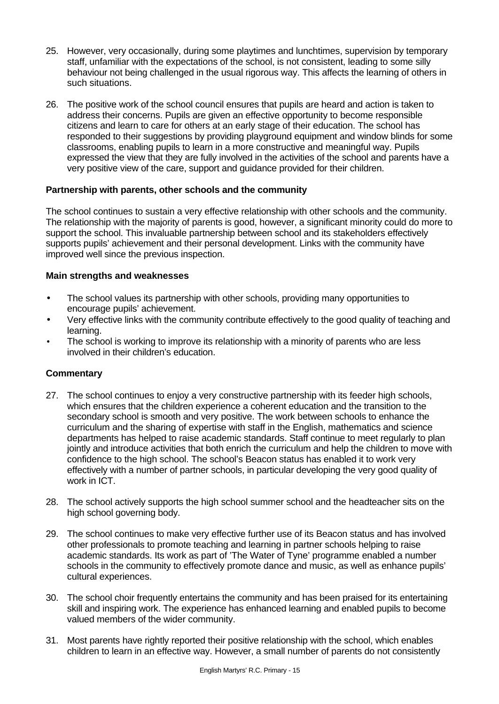- 25. However, very occasionally, during some playtimes and lunchtimes, supervision by temporary staff, unfamiliar with the expectations of the school, is not consistent, leading to some silly behaviour not being challenged in the usual rigorous way. This affects the learning of others in such situations.
- 26. The positive work of the school council ensures that pupils are heard and action is taken to address their concerns. Pupils are given an effective opportunity to become responsible citizens and learn to care for others at an early stage of their education. The school has responded to their suggestions by providing playground equipment and window blinds for some classrooms, enabling pupils to learn in a more constructive and meaningful way. Pupils expressed the view that they are fully involved in the activities of the school and parents have a very positive view of the care, support and guidance provided for their children.

## **Partnership with parents, other schools and the community**

The school continues to sustain a very effective relationship with other schools and the community. The relationship with the majority of parents is good, however, a significant minority could do more to support the school. This invaluable partnership between school and its stakeholders effectively supports pupils' achievement and their personal development. Links with the community have improved well since the previous inspection.

## **Main strengths and weaknesses**

- The school values its partnership with other schools, providing many opportunities to encourage pupils' achievement.
- Very effective links with the community contribute effectively to the good quality of teaching and learning.
- The school is working to improve its relationship with a minority of parents who are less involved in their children's education.

- 27. The school continues to enjoy a very constructive partnership with its feeder high schools, which ensures that the children experience a coherent education and the transition to the secondary school is smooth and very positive. The work between schools to enhance the curriculum and the sharing of expertise with staff in the English, mathematics and science departments has helped to raise academic standards. Staff continue to meet regularly to plan jointly and introduce activities that both enrich the curriculum and help the children to move with confidence to the high school. The school's Beacon status has enabled it to work very effectively with a number of partner schools, in particular developing the very good quality of work in ICT.
- 28. The school actively supports the high school summer school and the headteacher sits on the high school governing body.
- 29. The school continues to make very effective further use of its Beacon status and has involved other professionals to promote teaching and learning in partner schools helping to raise academic standards. Its work as part of 'The Water of Tyne' programme enabled a number schools in the community to effectively promote dance and music, as well as enhance pupils' cultural experiences.
- 30. The school choir frequently entertains the community and has been praised for its entertaining skill and inspiring work. The experience has enhanced learning and enabled pupils to become valued members of the wider community.
- 31. Most parents have rightly reported their positive relationship with the school, which enables children to learn in an effective way. However, a small number of parents do not consistently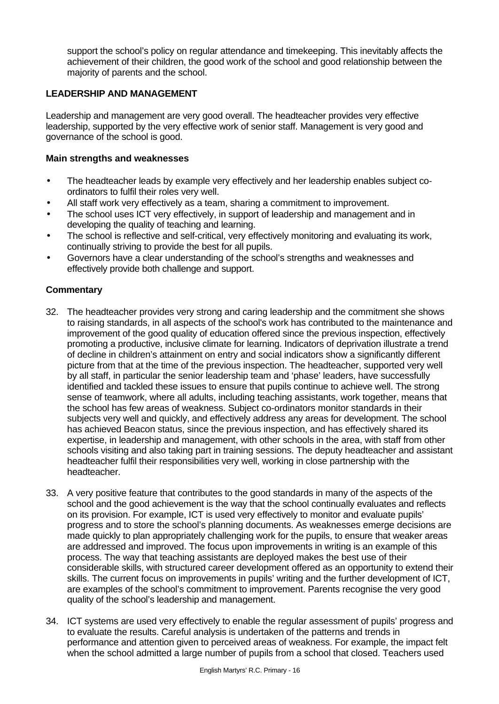support the school's policy on regular attendance and timekeeping. This inevitably affects the achievement of their children, the good work of the school and good relationship between the majority of parents and the school.

## **LEADERSHIP AND MANAGEMENT**

Leadership and management are very good overall. The headteacher provides very effective leadership, supported by the very effective work of senior staff. Management is very good and governance of the school is good.

#### **Main strengths and weaknesses**

- The headteacher leads by example very effectively and her leadership enables subject coordinators to fulfil their roles very well.
- All staff work very effectively as a team, sharing a commitment to improvement.
- The school uses ICT very effectively, in support of leadership and management and in developing the quality of teaching and learning.
- The school is reflective and self-critical, very effectively monitoring and evaluating its work, continually striving to provide the best for all pupils.
- Governors have a clear understanding of the school's strengths and weaknesses and effectively provide both challenge and support.

- 32. The headteacher provides very strong and caring leadership and the commitment she shows to raising standards, in all aspects of the school's work has contributed to the maintenance and improvement of the good quality of education offered since the previous inspection, effectively promoting a productive, inclusive climate for learning. Indicators of deprivation illustrate a trend of decline in children's attainment on entry and social indicators show a significantly different picture from that at the time of the previous inspection. The headteacher, supported very well by all staff, in particular the senior leadership team and 'phase' leaders, have successfully identified and tackled these issues to ensure that pupils continue to achieve well. The strong sense of teamwork, where all adults, including teaching assistants, work together, means that the school has few areas of weakness. Subject co-ordinators monitor standards in their subjects very well and quickly, and effectively address any areas for development. The school has achieved Beacon status, since the previous inspection, and has effectively shared its expertise, in leadership and management, with other schools in the area, with staff from other schools visiting and also taking part in training sessions. The deputy headteacher and assistant headteacher fulfil their responsibilities very well, working in close partnership with the headteacher.
- 33. A very positive feature that contributes to the good standards in many of the aspects of the school and the good achievement is the way that the school continually evaluates and reflects on its provision. For example, ICT is used very effectively to monitor and evaluate pupils' progress and to store the school's planning documents. As weaknesses emerge decisions are made quickly to plan appropriately challenging work for the pupils, to ensure that weaker areas are addressed and improved. The focus upon improvements in writing is an example of this process. The way that teaching assistants are deployed makes the best use of their considerable skills, with structured career development offered as an opportunity to extend their skills. The current focus on improvements in pupils' writing and the further development of ICT, are examples of the school's commitment to improvement. Parents recognise the very good quality of the school's leadership and management.
- 34. ICT systems are used very effectively to enable the regular assessment of pupils' progress and to evaluate the results. Careful analysis is undertaken of the patterns and trends in performance and attention given to perceived areas of weakness. For example, the impact felt when the school admitted a large number of pupils from a school that closed. Teachers used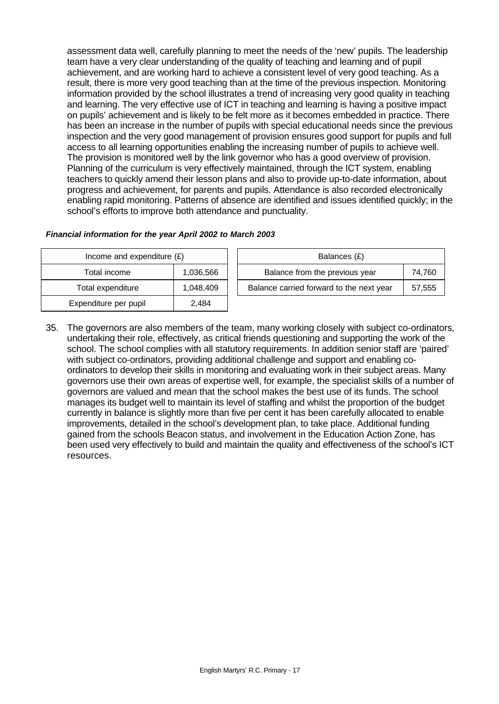assessment data well, carefully planning to meet the needs of the 'new' pupils. The leadership team have a very clear understanding of the quality of teaching and learning and of pupil achievement, and are working hard to achieve a consistent level of very good teaching. As a result, there is more very good teaching than at the time of the previous inspection. Monitoring information provided by the school illustrates a trend of increasing very good quality in teaching and learning. The very effective use of ICT in teaching and learning is having a positive impact on pupils' achievement and is likely to be felt more as it becomes embedded in practice. There has been an increase in the number of pupils with special educational needs since the previous inspection and the very good management of provision ensures good support for pupils and full access to all learning opportunities enabling the increasing number of pupils to achieve well. The provision is monitored well by the link governor who has a good overview of provision. Planning of the curriculum is very effectively maintained, through the ICT system, enabling teachers to quickly amend their lesson plans and also to provide up-to-date information, about progress and achievement, for parents and pupils. Attendance is also recorded electronically enabling rapid monitoring. Patterns of absence are identified and issues identified quickly; in the school's efforts to improve both attendance and punctuality.

| Income and expenditure $(E)$ |           |  | Balances (£)                     |
|------------------------------|-----------|--|----------------------------------|
| Total income                 | 1,036,566 |  | Balance from the previous y      |
| Total expenditure            | 1,048,409 |  | Balance carried forward to the n |
| Expenditure per pupil        | 2.484     |  |                                  |

| Financial information for the year April 2002 to March 2003 |  |  |  |  |
|-------------------------------------------------------------|--|--|--|--|
|                                                             |  |  |  |  |

| Income and expenditure $(E)$ |           | Balances (£)                             |        |  |
|------------------------------|-----------|------------------------------------------|--------|--|
| Total income                 | 1,036,566 | Balance from the previous year           | 74.760 |  |
| Total expenditure            | 1,048,409 | Balance carried forward to the next year | 57,555 |  |

35. The governors are also members of the team, many working closely with subject co-ordinators, undertaking their role, effectively, as critical friends questioning and supporting the work of the school. The school complies with all statutory requirements. In addition senior staff are 'paired' with subject co-ordinators, providing additional challenge and support and enabling coordinators to develop their skills in monitoring and evaluating work in their subject areas. Many governors use their own areas of expertise well, for example, the specialist skills of a number of governors are valued and mean that the school makes the best use of its funds. The school manages its budget well to maintain its level of staffing and whilst the proportion of the budget currently in balance is slightly more than five per cent it has been carefully allocated to enable improvements, detailed in the school's development plan, to take place. Additional funding gained from the schools Beacon status, and involvement in the Education Action Zone, has been used very effectively to build and maintain the quality and effectiveness of the school's ICT resources.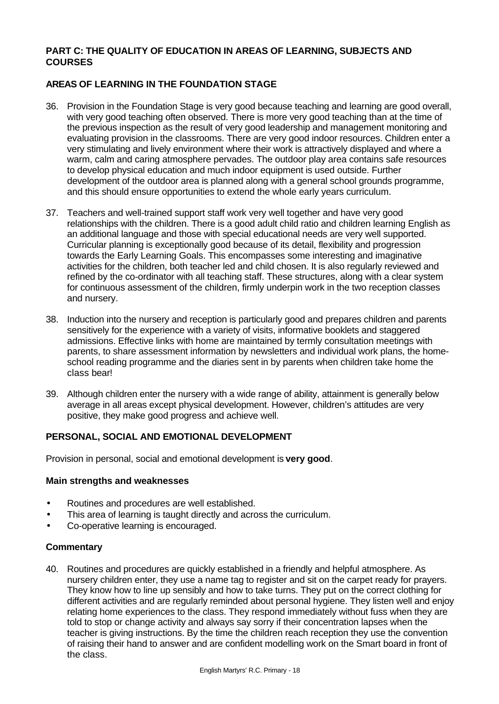## **PART C: THE QUALITY OF EDUCATION IN AREAS OF LEARNING, SUBJECTS AND COURSES**

# **AREAS OF LEARNING IN THE FOUNDATION STAGE**

- 36. Provision in the Foundation Stage is very good because teaching and learning are good overall, with very good teaching often observed. There is more very good teaching than at the time of the previous inspection as the result of very good leadership and management monitoring and evaluating provision in the classrooms. There are very good indoor resources. Children enter a very stimulating and lively environment where their work is attractively displayed and where a warm, calm and caring atmosphere pervades. The outdoor play area contains safe resources to develop physical education and much indoor equipment is used outside. Further development of the outdoor area is planned along with a general school grounds programme, and this should ensure opportunities to extend the whole early years curriculum.
- 37. Teachers and well-trained support staff work very well together and have very good relationships with the children. There is a good adult child ratio and children learning English as an additional language and those with special educational needs are very well supported. Curricular planning is exceptionally good because of its detail, flexibility and progression towards the Early Learning Goals. This encompasses some interesting and imaginative activities for the children, both teacher led and child chosen. It is also regularly reviewed and refined by the co-ordinator with all teaching staff. These structures, along with a clear system for continuous assessment of the children, firmly underpin work in the two reception classes and nursery.
- 38. Induction into the nursery and reception is particularly good and prepares children and parents sensitively for the experience with a variety of visits, informative booklets and staggered admissions. Effective links with home are maintained by termly consultation meetings with parents, to share assessment information by newsletters and individual work plans, the homeschool reading programme and the diaries sent in by parents when children take home the class bear!
- 39. Although children enter the nursery with a wide range of ability, attainment is generally below average in all areas except physical development. However, children's attitudes are very positive, they make good progress and achieve well.

# **PERSONAL, SOCIAL AND EMOTIONAL DEVELOPMENT**

Provision in personal, social and emotional development is **very good**.

## **Main strengths and weaknesses**

- Routines and procedures are well established.
- This area of learning is taught directly and across the curriculum.
- Co-operative learning is encouraged.

#### **Commentary**

40. Routines and procedures are quickly established in a friendly and helpful atmosphere. As nursery children enter, they use a name tag to register and sit on the carpet ready for prayers. They know how to line up sensibly and how to take turns. They put on the correct clothing for different activities and are regularly reminded about personal hygiene. They listen well and enjoy relating home experiences to the class. They respond immediately without fuss when they are told to stop or change activity and always say sorry if their concentration lapses when the teacher is giving instructions. By the time the children reach reception they use the convention of raising their hand to answer and are confident modelling work on the Smart board in front of the class.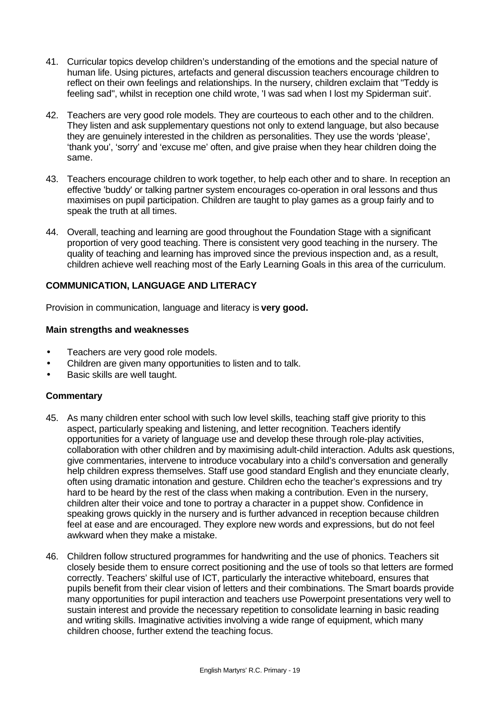- 41. Curricular topics develop children's understanding of the emotions and the special nature of human life. Using pictures, artefacts and general discussion teachers encourage children to reflect on their own feelings and relationships. In the nursery, children exclaim that "Teddy is feeling sad", whilst in reception one child wrote, 'I was sad when I lost my Spiderman suit'.
- 42. Teachers are very good role models. They are courteous to each other and to the children. They listen and ask supplementary questions not only to extend language, but also because they are genuinely interested in the children as personalities. They use the words 'please', 'thank you', 'sorry' and 'excuse me' often, and give praise when they hear children doing the same.
- 43. Teachers encourage children to work together, to help each other and to share. In reception an effective 'buddy' or talking partner system encourages co-operation in oral lessons and thus maximises on pupil participation. Children are taught to play games as a group fairly and to speak the truth at all times.
- 44. Overall, teaching and learning are good throughout the Foundation Stage with a significant proportion of very good teaching. There is consistent very good teaching in the nursery. The quality of teaching and learning has improved since the previous inspection and, as a result, children achieve well reaching most of the Early Learning Goals in this area of the curriculum.

## **COMMUNICATION, LANGUAGE AND LITERACY**

Provision in communication, language and literacy is **very good.**

#### **Main strengths and weaknesses**

- Teachers are very good role models.
- Children are given many opportunities to listen and to talk.
- Basic skills are well taught.

- 45. As many children enter school with such low level skills, teaching staff give priority to this aspect, particularly speaking and listening, and letter recognition. Teachers identify opportunities for a variety of language use and develop these through role-play activities, collaboration with other children and by maximising adult-child interaction. Adults ask questions, give commentaries, intervene to introduce vocabulary into a child's conversation and generally help children express themselves. Staff use good standard English and they enunciate clearly, often using dramatic intonation and gesture. Children echo the teacher's expressions and try hard to be heard by the rest of the class when making a contribution. Even in the nursery, children alter their voice and tone to portray a character in a puppet show. Confidence in speaking grows quickly in the nursery and is further advanced in reception because children feel at ease and are encouraged. They explore new words and expressions, but do not feel awkward when they make a mistake.
- 46. Children follow structured programmes for handwriting and the use of phonics. Teachers sit closely beside them to ensure correct positioning and the use of tools so that letters are formed correctly. Teachers' skilful use of ICT, particularly the interactive whiteboard, ensures that pupils benefit from their clear vision of letters and their combinations. The Smart boards provide many opportunities for pupil interaction and teachers use Powerpoint presentations very well to sustain interest and provide the necessary repetition to consolidate learning in basic reading and writing skills. Imaginative activities involving a wide range of equipment, which many children choose, further extend the teaching focus.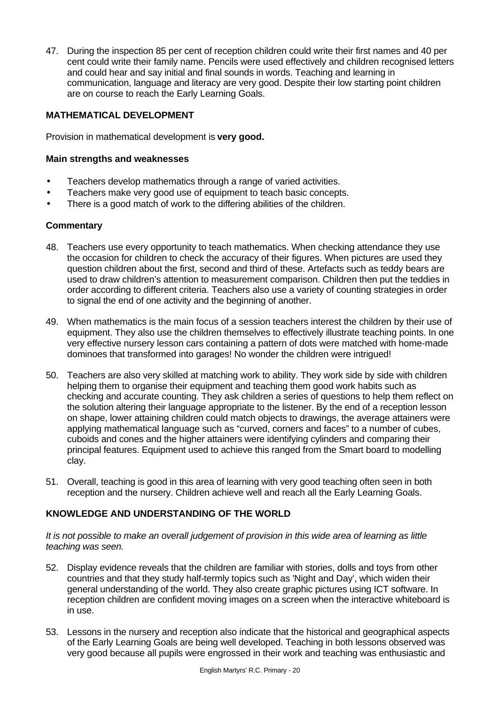47. During the inspection 85 per cent of reception children could write their first names and 40 per cent could write their family name. Pencils were used effectively and children recognised letters and could hear and say initial and final sounds in words. Teaching and learning in communication, language and literacy are very good. Despite their low starting point children are on course to reach the Early Learning Goals.

## **MATHEMATICAL DEVELOPMENT**

Provision in mathematical development is **very good.**

#### **Main strengths and weaknesses**

- Teachers develop mathematics through a range of varied activities.
- Teachers make very good use of equipment to teach basic concepts.
- There is a good match of work to the differing abilities of the children.

## **Commentary**

- 48. Teachers use every opportunity to teach mathematics. When checking attendance they use the occasion for children to check the accuracy of their figures. When pictures are used they question children about the first, second and third of these. Artefacts such as teddy bears are used to draw children's attention to measurement comparison. Children then put the teddies in order according to different criteria. Teachers also use a variety of counting strategies in order to signal the end of one activity and the beginning of another.
- 49. When mathematics is the main focus of a session teachers interest the children by their use of equipment. They also use the children themselves to effectively illustrate teaching points. In one very effective nursery lesson cars containing a pattern of dots were matched with home-made dominoes that transformed into garages! No wonder the children were intrigued!
- 50. Teachers are also very skilled at matching work to ability. They work side by side with children helping them to organise their equipment and teaching them good work habits such as checking and accurate counting. They ask children a series of questions to help them reflect on the solution altering their language appropriate to the listener. By the end of a reception lesson on shape, lower attaining children could match objects to drawings, the average attainers were applying mathematical language such as "curved, corners and faces" to a number of cubes, cuboids and cones and the higher attainers were identifying cylinders and comparing their principal features. Equipment used to achieve this ranged from the Smart board to modelling clay.
- 51. Overall, teaching is good in this area of learning with very good teaching often seen in both reception and the nursery. Children achieve well and reach all the Early Learning Goals.

## **KNOWLEDGE AND UNDERSTANDING OF THE WORLD**

*It is not possible to make an overall judgement of provision in this wide area of learning as little teaching was seen.*

- 52. Display evidence reveals that the children are familiar with stories, dolls and toys from other countries and that they study half-termly topics such as 'Night and Day', which widen their general understanding of the world. They also create graphic pictures using ICT software. In reception children are confident moving images on a screen when the interactive whiteboard is in use.
- 53. Lessons in the nursery and reception also indicate that the historical and geographical aspects of the Early Learning Goals are being well developed. Teaching in both lessons observed was very good because all pupils were engrossed in their work and teaching was enthusiastic and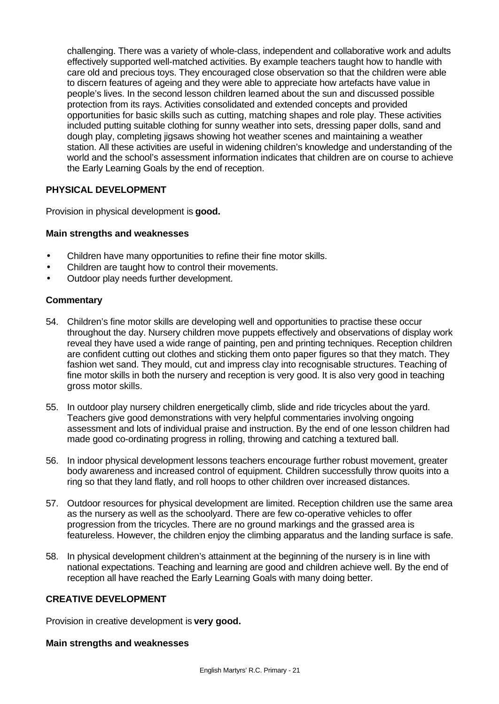challenging. There was a variety of whole-class, independent and collaborative work and adults effectively supported well-matched activities. By example teachers taught how to handle with care old and precious toys. They encouraged close observation so that the children were able to discern features of ageing and they were able to appreciate how artefacts have value in people's lives. In the second lesson children learned about the sun and discussed possible protection from its rays. Activities consolidated and extended concepts and provided opportunities for basic skills such as cutting, matching shapes and role play. These activities included putting suitable clothing for sunny weather into sets, dressing paper dolls, sand and dough play, completing jigsaws showing hot weather scenes and maintaining a weather station. All these activities are useful in widening children's knowledge and understanding of the world and the school's assessment information indicates that children are on course to achieve the Early Learning Goals by the end of reception.

# **PHYSICAL DEVELOPMENT**

Provision in physical development is **good.**

## **Main strengths and weaknesses**

- Children have many opportunities to refine their fine motor skills.
- Children are taught how to control their movements.
- Outdoor play needs further development.

## **Commentary**

- 54. Children's fine motor skills are developing well and opportunities to practise these occur throughout the day. Nursery children move puppets effectively and observations of display work reveal they have used a wide range of painting, pen and printing techniques. Reception children are confident cutting out clothes and sticking them onto paper figures so that they match. They fashion wet sand. They mould, cut and impress clay into recognisable structures. Teaching of fine motor skills in both the nursery and reception is very good. It is also very good in teaching gross motor skills.
- 55. In outdoor play nursery children energetically climb, slide and ride tricycles about the yard. Teachers give good demonstrations with very helpful commentaries involving ongoing assessment and lots of individual praise and instruction. By the end of one lesson children had made good co-ordinating progress in rolling, throwing and catching a textured ball.
- 56. In indoor physical development lessons teachers encourage further robust movement, greater body awareness and increased control of equipment. Children successfully throw quoits into a ring so that they land flatly, and roll hoops to other children over increased distances.
- 57. Outdoor resources for physical development are limited. Reception children use the same area as the nursery as well as the schoolyard. There are few co-operative vehicles to offer progression from the tricycles. There are no ground markings and the grassed area is featureless. However, the children enjoy the climbing apparatus and the landing surface is safe.
- 58. In physical development children's attainment at the beginning of the nursery is in line with national expectations. Teaching and learning are good and children achieve well. By the end of reception all have reached the Early Learning Goals with many doing better.

## **CREATIVE DEVELOPMENT**

Provision in creative development is **very good.**

## **Main strengths and weaknesses**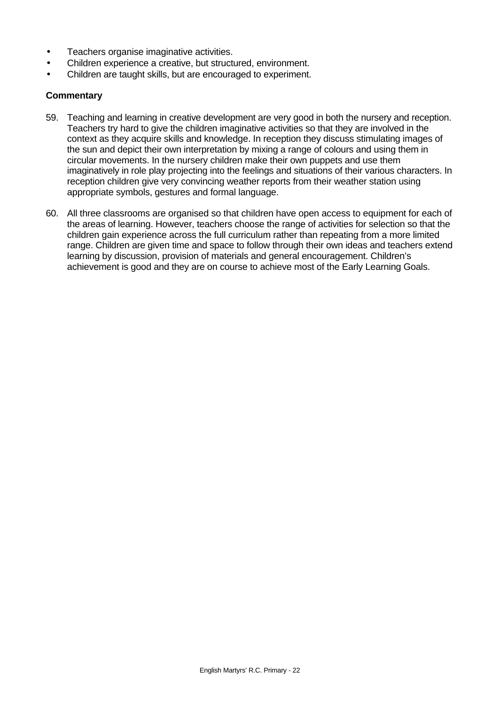- Teachers organise imaginative activities.
- Children experience a creative, but structured, environment.
- Children are taught skills, but are encouraged to experiment.

- 59. Teaching and learning in creative development are very good in both the nursery and reception. Teachers try hard to give the children imaginative activities so that they are involved in the context as they acquire skills and knowledge. In reception they discuss stimulating images of the sun and depict their own interpretation by mixing a range of colours and using them in circular movements. In the nursery children make their own puppets and use them imaginatively in role play projecting into the feelings and situations of their various characters. In reception children give very convincing weather reports from their weather station using appropriate symbols, gestures and formal language.
- 60. All three classrooms are organised so that children have open access to equipment for each of the areas of learning. However, teachers choose the range of activities for selection so that the children gain experience across the full curriculum rather than repeating from a more limited range. Children are given time and space to follow through their own ideas and teachers extend learning by discussion, provision of materials and general encouragement. Children's achievement is good and they are on course to achieve most of the Early Learning Goals.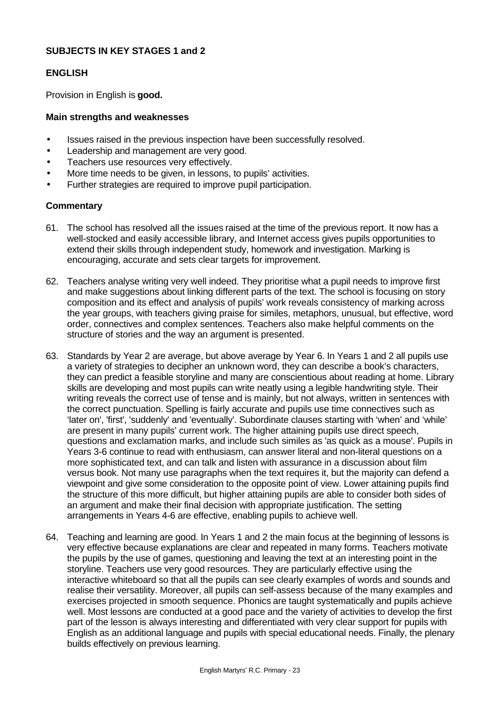## **SUBJECTS IN KEY STAGES 1 and 2**

## **ENGLISH**

Provision in English is **good.**

#### **Main strengths and weaknesses**

- Issues raised in the previous inspection have been successfully resolved.
- Leadership and management are very good.
- Teachers use resources very effectively.
- More time needs to be given, in lessons, to pupils' activities.
- Further strategies are required to improve pupil participation.

- 61. The school has resolved all the issues raised at the time of the previous report. It now has a well-stocked and easily accessible library, and Internet access gives pupils opportunities to extend their skills through independent study, homework and investigation. Marking is encouraging, accurate and sets clear targets for improvement.
- 62. Teachers analyse writing very well indeed. They prioritise what a pupil needs to improve first and make suggestions about linking different parts of the text. The school is focusing on story composition and its effect and analysis of pupils' work reveals consistency of marking across the year groups, with teachers giving praise for similes, metaphors, unusual, but effective, word order, connectives and complex sentences. Teachers also make helpful comments on the structure of stories and the way an argument is presented.
- 63. Standards by Year 2 are average, but above average by Year 6. In Years 1 and 2 all pupils use a variety of strategies to decipher an unknown word, they can describe a book's characters, they can predict a feasible storyline and many are conscientious about reading at home. Library skills are developing and most pupils can write neatly using a legible handwriting style. Their writing reveals the correct use of tense and is mainly, but not always, written in sentences with the correct punctuation. Spelling is fairly accurate and pupils use time connectives such as 'later on', 'first', 'suddenly' and 'eventually'. Subordinate clauses starting with 'when' and 'while' are present in many pupils' current work. The higher attaining pupils use direct speech, questions and exclamation marks, and include such similes as 'as quick as a mouse'. Pupils in Years 3-6 continue to read with enthusiasm, can answer literal and non-literal questions on a more sophisticated text, and can talk and listen with assurance in a discussion about film versus book. Not many use paragraphs when the text requires it, but the majority can defend a viewpoint and give some consideration to the opposite point of view. Lower attaining pupils find the structure of this more difficult, but higher attaining pupils are able to consider both sides of an argument and make their final decision with appropriate justification. The setting arrangements in Years 4-6 are effective, enabling pupils to achieve well.
- 64. Teaching and learning are good. In Years 1 and 2 the main focus at the beginning of lessons is very effective because explanations are clear and repeated in many forms. Teachers motivate the pupils by the use of games, questioning and leaving the text at an interesting point in the storyline. Teachers use very good resources. They are particularly effective using the interactive whiteboard so that all the pupils can see clearly examples of words and sounds and realise their versatility. Moreover, all pupils can self-assess because of the many examples and exercises projected in smooth sequence. Phonics are taught systematically and pupils achieve well. Most lessons are conducted at a good pace and the variety of activities to develop the first part of the lesson is always interesting and differentiated with very clear support for pupils with English as an additional language and pupils with special educational needs. Finally, the plenary builds effectively on previous learning.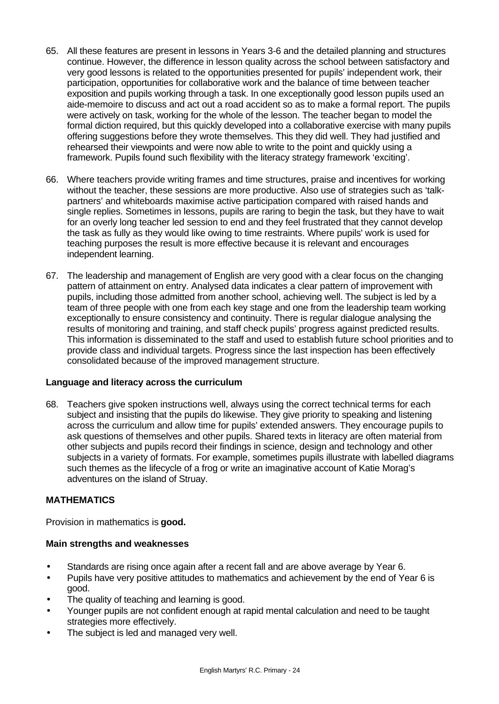- 65. All these features are present in lessons in Years 3-6 and the detailed planning and structures continue. However, the difference in lesson quality across the school between satisfactory and very good lessons is related to the opportunities presented for pupils' independent work, their participation, opportunities for collaborative work and the balance of time between teacher exposition and pupils working through a task. In one exceptionally good lesson pupils used an aide-memoire to discuss and act out a road accident so as to make a formal report. The pupils were actively on task, working for the whole of the lesson. The teacher began to model the formal diction required, but this quickly developed into a collaborative exercise with many pupils offering suggestions before they wrote themselves. This they did well. They had justified and rehearsed their viewpoints and were now able to write to the point and quickly using a framework. Pupils found such flexibility with the literacy strategy framework 'exciting'.
- 66. Where teachers provide writing frames and time structures, praise and incentives for working without the teacher, these sessions are more productive. Also use of strategies such as 'talkpartners' and whiteboards maximise active participation compared with raised hands and single replies. Sometimes in lessons, pupils are raring to begin the task, but they have to wait for an overly long teacher led session to end and they feel frustrated that they cannot develop the task as fully as they would like owing to time restraints. Where pupils' work is used for teaching purposes the result is more effective because it is relevant and encourages independent learning.
- 67. The leadership and management of English are very good with a clear focus on the changing pattern of attainment on entry. Analysed data indicates a clear pattern of improvement with pupils, including those admitted from another school, achieving well. The subject is led by a team of three people with one from each key stage and one from the leadership team working exceptionally to ensure consistency and continuity. There is regular dialogue analysing the results of monitoring and training, and staff check pupils' progress against predicted results. This information is disseminated to the staff and used to establish future school priorities and to provide class and individual targets. Progress since the last inspection has been effectively consolidated because of the improved management structure.

## **Language and literacy across the curriculum**

68. Teachers give spoken instructions well, always using the correct technical terms for each subject and insisting that the pupils do likewise. They give priority to speaking and listening across the curriculum and allow time for pupils' extended answers. They encourage pupils to ask questions of themselves and other pupils. Shared texts in literacy are often material from other subjects and pupils record their findings in science, design and technology and other subjects in a variety of formats. For example, sometimes pupils illustrate with labelled diagrams such themes as the lifecycle of a frog or write an imaginative account of Katie Morag's adventures on the island of Struay.

# **MATHEMATICS**

Provision in mathematics is **good.**

## **Main strengths and weaknesses**

- Standards are rising once again after a recent fall and are above average by Year 6.
- Pupils have very positive attitudes to mathematics and achievement by the end of Year 6 is good.
- The quality of teaching and learning is good.
- Younger pupils are not confident enough at rapid mental calculation and need to be taught strategies more effectively.
- The subject is led and managed very well.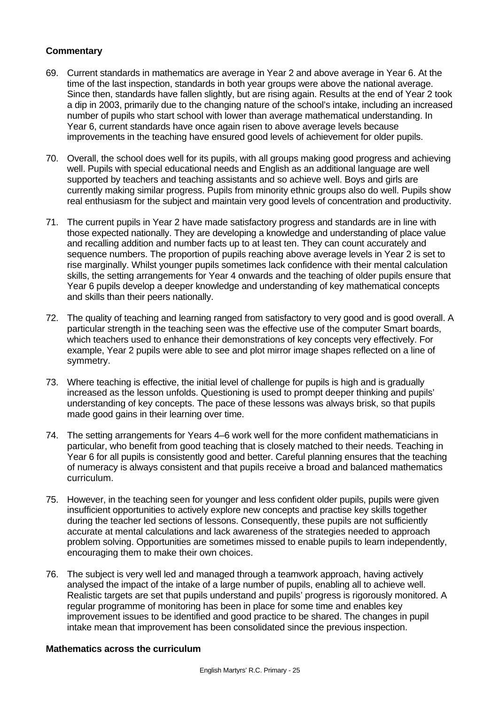## **Commentary**

- 69. Current standards in mathematics are average in Year 2 and above average in Year 6. At the time of the last inspection, standards in both year groups were above the national average. Since then, standards have fallen slightly, but are rising again. Results at the end of Year 2 took a dip in 2003, primarily due to the changing nature of the school's intake, including an increased number of pupils who start school with lower than average mathematical understanding. In Year 6, current standards have once again risen to above average levels because improvements in the teaching have ensured good levels of achievement for older pupils.
- 70. Overall, the school does well for its pupils, with all groups making good progress and achieving well. Pupils with special educational needs and English as an additional language are well supported by teachers and teaching assistants and so achieve well. Boys and girls are currently making similar progress. Pupils from minority ethnic groups also do well. Pupils show real enthusiasm for the subject and maintain very good levels of concentration and productivity.
- 71. The current pupils in Year 2 have made satisfactory progress and standards are in line with those expected nationally. They are developing a knowledge and understanding of place value and recalling addition and number facts up to at least ten. They can count accurately and sequence numbers. The proportion of pupils reaching above average levels in Year 2 is set to rise marginally. Whilst younger pupils sometimes lack confidence with their mental calculation skills, the setting arrangements for Year 4 onwards and the teaching of older pupils ensure that Year 6 pupils develop a deeper knowledge and understanding of key mathematical concepts and skills than their peers nationally.
- 72. The quality of teaching and learning ranged from satisfactory to very good and is good overall. A particular strength in the teaching seen was the effective use of the computer Smart boards, which teachers used to enhance their demonstrations of key concepts very effectively. For example, Year 2 pupils were able to see and plot mirror image shapes reflected on a line of symmetry.
- 73. Where teaching is effective, the initial level of challenge for pupils is high and is gradually increased as the lesson unfolds. Questioning is used to prompt deeper thinking and pupils' understanding of key concepts. The pace of these lessons was always brisk, so that pupils made good gains in their learning over time.
- 74. The setting arrangements for Years 4–6 work well for the more confident mathematicians in particular, who benefit from good teaching that is closely matched to their needs. Teaching in Year 6 for all pupils is consistently good and better. Careful planning ensures that the teaching of numeracy is always consistent and that pupils receive a broad and balanced mathematics curriculum.
- 75. However, in the teaching seen for younger and less confident older pupils, pupils were given insufficient opportunities to actively explore new concepts and practise key skills together during the teacher led sections of lessons. Consequently, these pupils are not sufficiently accurate at mental calculations and lack awareness of the strategies needed to approach problem solving. Opportunities are sometimes missed to enable pupils to learn independently, encouraging them to make their own choices.
- 76. The subject is very well led and managed through a teamwork approach, having actively analysed the impact of the intake of a large number of pupils, enabling all to achieve well. Realistic targets are set that pupils understand and pupils' progress is rigorously monitored. A regular programme of monitoring has been in place for some time and enables key improvement issues to be identified and good practice to be shared. The changes in pupil intake mean that improvement has been consolidated since the previous inspection.

## **Mathematics across the curriculum**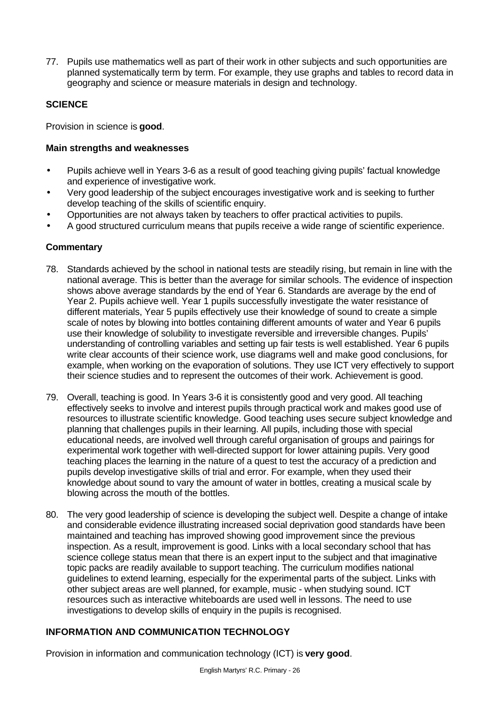77. Pupils use mathematics well as part of their work in other subjects and such opportunities are planned systematically term by term. For example, they use graphs and tables to record data in geography and science or measure materials in design and technology.

# **SCIENCE**

Provision in science is **good**.

## **Main strengths and weaknesses**

- Pupils achieve well in Years 3-6 as a result of good teaching giving pupils' factual knowledge and experience of investigative work.
- Very good leadership of the subject encourages investigative work and is seeking to further develop teaching of the skills of scientific enquiry.
- Opportunities are not always taken by teachers to offer practical activities to pupils.
- A good structured curriculum means that pupils receive a wide range of scientific experience.

# **Commentary**

- 78. Standards achieved by the school in national tests are steadily rising, but remain in line with the national average. This is better than the average for similar schools. The evidence of inspection shows above average standards by the end of Year 6. Standards are average by the end of Year 2. Pupils achieve well. Year 1 pupils successfully investigate the water resistance of different materials, Year 5 pupils effectively use their knowledge of sound to create a simple scale of notes by blowing into bottles containing different amounts of water and Year 6 pupils use their knowledge of solubility to investigate reversible and irreversible changes. Pupils' understanding of controlling variables and setting up fair tests is well established. Year 6 pupils write clear accounts of their science work, use diagrams well and make good conclusions, for example, when working on the evaporation of solutions. They use ICT very effectively to support their science studies and to represent the outcomes of their work. Achievement is good.
- 79. Overall, teaching is good. In Years 3-6 it is consistently good and very good. All teaching effectively seeks to involve and interest pupils through practical work and makes good use of resources to illustrate scientific knowledge. Good teaching uses secure subject knowledge and planning that challenges pupils in their learning. All pupils, including those with special educational needs, are involved well through careful organisation of groups and pairings for experimental work together with well-directed support for lower attaining pupils. Very good teaching places the learning in the nature of a quest to test the accuracy of a prediction and pupils develop investigative skills of trial and error. For example, when they used their knowledge about sound to vary the amount of water in bottles, creating a musical scale by blowing across the mouth of the bottles.
- 80. The very good leadership of science is developing the subject well. Despite a change of intake and considerable evidence illustrating increased social deprivation good standards have been maintained and teaching has improved showing good improvement since the previous inspection. As a result, improvement is good. Links with a local secondary school that has science college status mean that there is an expert input to the subject and that imaginative topic packs are readily available to support teaching. The curriculum modifies national guidelines to extend learning, especially for the experimental parts of the subject. Links with other subject areas are well planned, for example, music - when studying sound. ICT resources such as interactive whiteboards are used well in lessons. The need to use investigations to develop skills of enquiry in the pupils is recognised.

# **INFORMATION AND COMMUNICATION TECHNOLOGY**

Provision in information and communication technology (ICT) is **very good**.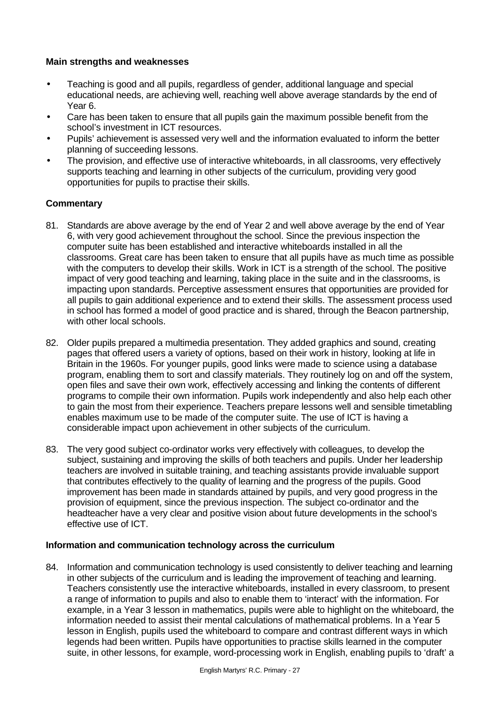## **Main strengths and weaknesses**

- Teaching is good and all pupils, regardless of gender, additional language and special educational needs, are achieving well, reaching well above average standards by the end of Year 6.
- Care has been taken to ensure that all pupils gain the maximum possible benefit from the school's investment in ICT resources.
- Pupils' achievement is assessed very well and the information evaluated to inform the better planning of succeeding lessons.
- The provision, and effective use of interactive whiteboards, in all classrooms, very effectively supports teaching and learning in other subjects of the curriculum, providing very good opportunities for pupils to practise their skills.

# **Commentary**

- 81. Standards are above average by the end of Year 2 and well above average by the end of Year 6, with very good achievement throughout the school. Since the previous inspection the computer suite has been established and interactive whiteboards installed in all the classrooms. Great care has been taken to ensure that all pupils have as much time as possible with the computers to develop their skills. Work in ICT is a strength of the school. The positive impact of very good teaching and learning, taking place in the suite and in the classrooms, is impacting upon standards. Perceptive assessment ensures that opportunities are provided for all pupils to gain additional experience and to extend their skills. The assessment process used in school has formed a model of good practice and is shared, through the Beacon partnership, with other local schools.
- 82. Older pupils prepared a multimedia presentation. They added graphics and sound, creating pages that offered users a variety of options, based on their work in history, looking at life in Britain in the 1960s. For younger pupils, good links were made to science using a database program, enabling them to sort and classify materials. They routinely log on and off the system, open files and save their own work, effectively accessing and linking the contents of different programs to compile their own information. Pupils work independently and also help each other to gain the most from their experience. Teachers prepare lessons well and sensible timetabling enables maximum use to be made of the computer suite. The use of ICT is having a considerable impact upon achievement in other subjects of the curriculum.
- 83. The very good subject co-ordinator works very effectively with colleagues, to develop the subject, sustaining and improving the skills of both teachers and pupils. Under her leadership teachers are involved in suitable training, and teaching assistants provide invaluable support that contributes effectively to the quality of learning and the progress of the pupils. Good improvement has been made in standards attained by pupils, and very good progress in the provision of equipment, since the previous inspection. The subject co-ordinator and the headteacher have a very clear and positive vision about future developments in the school's effective use of ICT.

## **Information and communication technology across the curriculum**

84. Information and communication technology is used consistently to deliver teaching and learning in other subjects of the curriculum and is leading the improvement of teaching and learning. Teachers consistently use the interactive whiteboards, installed in every classroom, to present a range of information to pupils and also to enable them to 'interact' with the information. For example, in a Year 3 lesson in mathematics, pupils were able to highlight on the whiteboard, the information needed to assist their mental calculations of mathematical problems. In a Year 5 lesson in English, pupils used the whiteboard to compare and contrast different ways in which legends had been written. Pupils have opportunities to practise skills learned in the computer suite, in other lessons, for example, word-processing work in English, enabling pupils to 'draft' a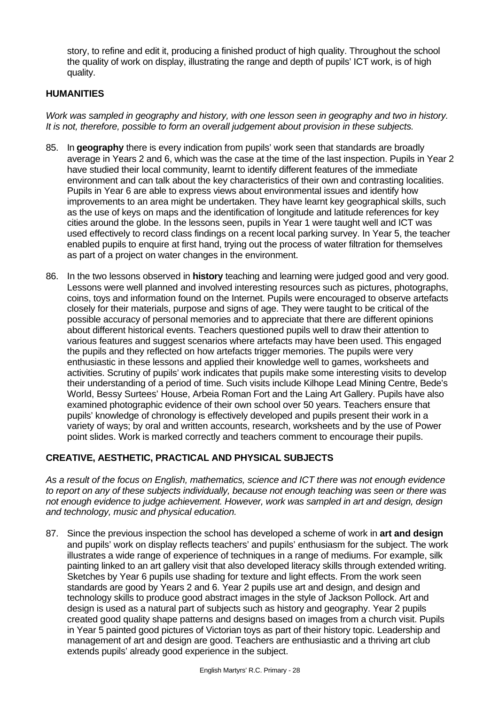story, to refine and edit it, producing a finished product of high quality. Throughout the school the quality of work on display, illustrating the range and depth of pupils' ICT work, is of high quality.

## **HUMANITIES**

*Work was sampled in geography and history, with one lesson seen in geography and two in history. It is not, therefore, possible to form an overall judgement about provision in these subjects.*

- 85. In **geography** there is every indication from pupils' work seen that standards are broadly average in Years 2 and 6, which was the case at the time of the last inspection. Pupils in Year 2 have studied their local community, learnt to identify different features of the immediate environment and can talk about the key characteristics of their own and contrasting localities. Pupils in Year 6 are able to express views about environmental issues and identify how improvements to an area might be undertaken. They have learnt key geographical skills, such as the use of keys on maps and the identification of longitude and latitude references for key cities around the globe. In the lessons seen, pupils in Year 1 were taught well and ICT was used effectively to record class findings on a recent local parking survey. In Year 5, the teacher enabled pupils to enquire at first hand, trying out the process of water filtration for themselves as part of a project on water changes in the environment.
- 86. In the two lessons observed in **history** teaching and learning were judged good and very good. Lessons were well planned and involved interesting resources such as pictures, photographs, coins, toys and information found on the Internet. Pupils were encouraged to observe artefacts closely for their materials, purpose and signs of age. They were taught to be critical of the possible accuracy of personal memories and to appreciate that there are different opinions about different historical events. Teachers questioned pupils well to draw their attention to various features and suggest scenarios where artefacts may have been used. This engaged the pupils and they reflected on how artefacts trigger memories. The pupils were very enthusiastic in these lessons and applied their knowledge well to games, worksheets and activities. Scrutiny of pupils' work indicates that pupils make some interesting visits to develop their understanding of a period of time. Such visits include Kilhope Lead Mining Centre, Bede's World, Bessy Surtees' House, Arbeia Roman Fort and the Laing Art Gallery. Pupils have also examined photographic evidence of their own school over 50 years. Teachers ensure that pupils' knowledge of chronology is effectively developed and pupils present their work in a variety of ways; by oral and written accounts, research, worksheets and by the use of Power point slides. Work is marked correctly and teachers comment to encourage their pupils.

## **CREATIVE, AESTHETIC, PRACTICAL AND PHYSICAL SUBJECTS**

*As a result of the focus on English, mathematics, science and ICT there was not enough evidence to report on any of these subjects individually, because not enough teaching was seen or there was not enough evidence to judge achievement. However, work was sampled in art and design, design and technology, music and physical education.*

87. Since the previous inspection the school has developed a scheme of work in **art and design** and pupils' work on display reflects teachers' and pupils' enthusiasm for the subject. The work illustrates a wide range of experience of techniques in a range of mediums. For example, silk painting linked to an art gallery visit that also developed literacy skills through extended writing. Sketches by Year 6 pupils use shading for texture and light effects. From the work seen standards are good by Years 2 and 6. Year 2 pupils use art and design, and design and technology skills to produce good abstract images in the style of Jackson Pollock. Art and design is used as a natural part of subjects such as history and geography. Year 2 pupils created good quality shape patterns and designs based on images from a church visit. Pupils in Year 5 painted good pictures of Victorian toys as part of their history topic. Leadership and management of art and design are good. Teachers are enthusiastic and a thriving art club extends pupils' already good experience in the subject.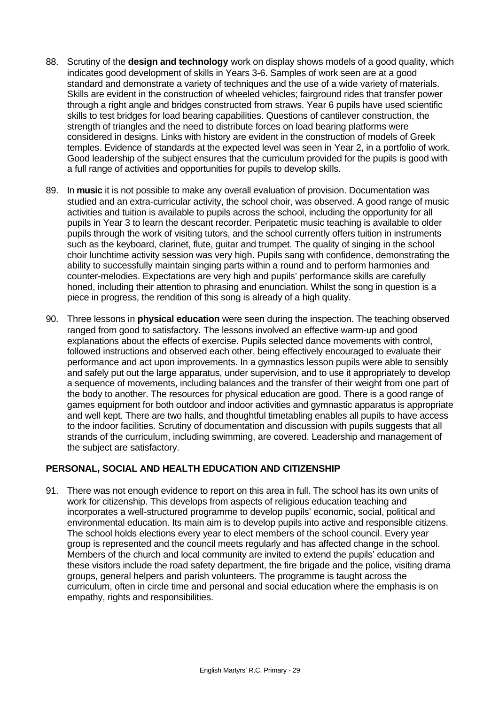- 88. Scrutiny of the **design and technology** work on display shows models of a good quality, which indicates good development of skills in Years 3-6. Samples of work seen are at a good standard and demonstrate a variety of techniques and the use of a wide variety of materials. Skills are evident in the construction of wheeled vehicles; fairground rides that transfer power through a right angle and bridges constructed from straws. Year 6 pupils have used scientific skills to test bridges for load bearing capabilities. Questions of cantilever construction, the strength of triangles and the need to distribute forces on load bearing platforms were considered in designs. Links with history are evident in the construction of models of Greek temples. Evidence of standards at the expected level was seen in Year 2, in a portfolio of work. Good leadership of the subject ensures that the curriculum provided for the pupils is good with a full range of activities and opportunities for pupils to develop skills.
- 89. In **music** it is not possible to make any overall evaluation of provision. Documentation was studied and an extra-curricular activity, the school choir, was observed. A good range of music activities and tuition is available to pupils across the school, including the opportunity for all pupils in Year 3 to learn the descant recorder. Peripatetic music teaching is available to older pupils through the work of visiting tutors, and the school currently offers tuition in instruments such as the keyboard, clarinet, flute, guitar and trumpet. The quality of singing in the school choir lunchtime activity session was very high. Pupils sang with confidence, demonstrating the ability to successfully maintain singing parts within a round and to perform harmonies and counter-melodies. Expectations are very high and pupils' performance skills are carefully honed, including their attention to phrasing and enunciation. Whilst the song in question is a piece in progress, the rendition of this song is already of a high quality.
- 90. Three lessons in **physical education** were seen during the inspection. The teaching observed ranged from good to satisfactory. The lessons involved an effective warm-up and good explanations about the effects of exercise. Pupils selected dance movements with control, followed instructions and observed each other, being effectively encouraged to evaluate their performance and act upon improvements. In a gymnastics lesson pupils were able to sensibly and safely put out the large apparatus, under supervision, and to use it appropriately to develop a sequence of movements, including balances and the transfer of their weight from one part of the body to another. The resources for physical education are good. There is a good range of games equipment for both outdoor and indoor activities and gymnastic apparatus is appropriate and well kept. There are two halls, and thoughtful timetabling enables all pupils to have access to the indoor facilities. Scrutiny of documentation and discussion with pupils suggests that all strands of the curriculum, including swimming, are covered. Leadership and management of the subject are satisfactory.

# **PERSONAL, SOCIAL AND HEALTH EDUCATION AND CITIZENSHIP**

91. There was not enough evidence to report on this area in full. The school has its own units of work for citizenship. This develops from aspects of religious education teaching and incorporates a well-structured programme to develop pupils' economic, social, political and environmental education. Its main aim is to develop pupils into active and responsible citizens. The school holds elections every year to elect members of the school council. Every year group is represented and the council meets regularly and has affected change in the school. Members of the church and local community are invited to extend the pupils' education and these visitors include the road safety department, the fire brigade and the police, visiting drama groups, general helpers and parish volunteers. The programme is taught across the curriculum, often in circle time and personal and social education where the emphasis is on empathy, rights and responsibilities.